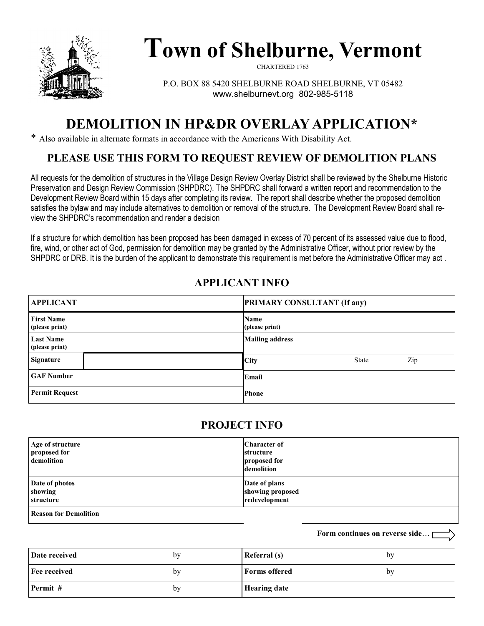

# **Town of Shelburne, Vermont**

CHARTERED 1763

P.O. BOX 88 5420 SHELBURNE ROAD SHELBURNE, VT 05482 www.shelburnevt.org 802-985-5118

## **DEMOLITION IN HP&DR OVERLAY APPLICATION\***

\* Also available in alternate formats in accordance with the Americans With Disability Act.

#### **PLEASE USE THIS FORM TO REQUEST REVIEW OF DEMOLITION PLANS**

All requests for the demolition of structures in the Village Design Review Overlay District shall be reviewed by the Shelburne Historic Preservation and Design Review Commission (SHPDRC). The SHPDRC shall forward a written report and recommendation to the Development Review Board within 15 days after completing its review. The report shall describe whether the proposed demolition satisfies the bylaw and may include alternatives to demolition or removal of the structure. The Development Review Board shall review the SHPDRC's recommendation and render a decision

If a structure for which demolition has been proposed has been damaged in excess of 70 percent of its assessed value due to flood, fire, wind, or other act of God, permission for demolition may be granted by the Administrative Officer, without prior review by the SHPDRC or DRB. It is the burden of the applicant to demonstrate this requirement is met before the Administrative Officer may act .

#### **APPLICANT INFO**

| <b>APPLICANT</b>                    | <b>PRIMARY CONSULTANT (If any)</b> |
|-------------------------------------|------------------------------------|
| <b>First Name</b><br>(please print) | Name<br>(please print)             |
| <b>Last Name</b><br>(please print)  | <b>Mailing address</b>             |
| Signature                           | <b>City</b><br>Zip<br><b>State</b> |
| <b>GAF Number</b>                   | Email                              |
| <b>Permit Request</b>               | <b>Phone</b>                       |

#### **PROJECT INFO**

| Age of structure<br>proposed for<br>demolition | <b>Character of</b><br>structure<br>proposed for<br>demolition |
|------------------------------------------------|----------------------------------------------------------------|
| Date of photos<br>showing<br>structure         | Date of plans<br>showing proposed<br>redevelopment             |
| <b>Reason for Demolition</b>                   |                                                                |

**Date received** by **Fee received** by **Permit #** by **Referral (s)** by **Forms offered** by **Hearing date**

**Form continues on reverse side**…